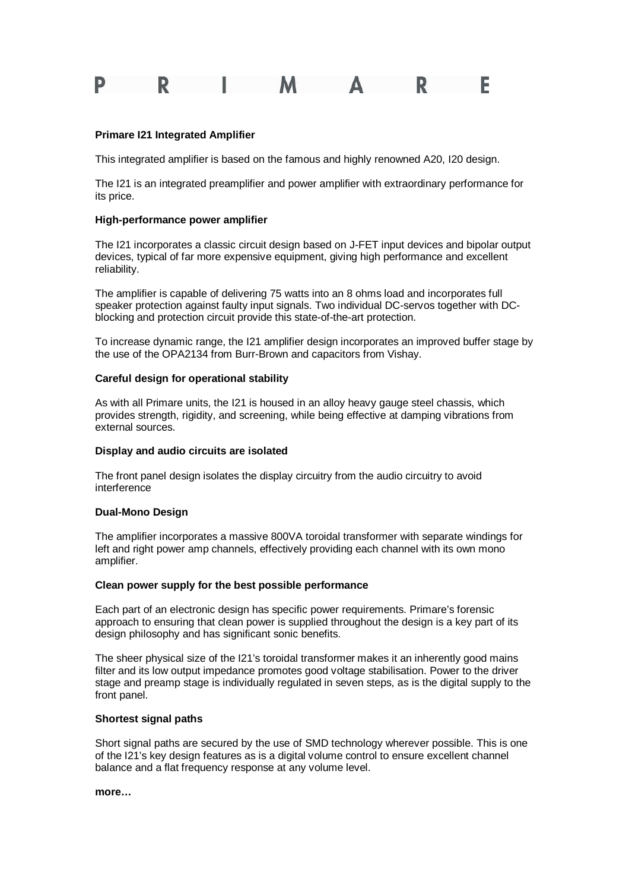

# **Primare I21 Integrated Amplifier**

This integrated amplifier is based on the famous and highly renowned A20, I20 design.

The I21 is an integrated preamplifier and power amplifier with extraordinary performance for its price.

### **High-performance power amplifier**

The I21 incorporates a classic circuit design based on J-FET input devices and bipolar output devices, typical of far more expensive equipment, giving high performance and excellent reliability.

The amplifier is capable of delivering 75 watts into an 8 ohms load and incorporates full speaker protection against faulty input signals. Two individual DC-servos together with DCblocking and protection circuit provide this state-of-the-art protection.

To increase dynamic range, the I21 amplifier design incorporates an improved buffer stage by the use of the OPA2134 from Burr-Brown and capacitors from Vishay.

### **Careful design for operational stability**

As with all Primare units, the I21 is housed in an alloy heavy gauge steel chassis, which provides strength, rigidity, and screening, while being effective at damping vibrations from external sources.

#### **Display and audio circuits are isolated**

The front panel design isolates the display circuitry from the audio circuitry to avoid interference

#### **Dual-Mono Design**

The amplifier incorporates a massive 800VA toroidal transformer with separate windings for left and right power amp channels, effectively providing each channel with its own mono amplifier.

#### **Clean power supply for the best possible performance**

Each part of an electronic design has specific power requirements. Primare's forensic approach to ensuring that clean power is supplied throughout the design is a key part of its design philosophy and has significant sonic benefits.

The sheer physical size of the I21's toroidal transformer makes it an inherently good mains filter and its low output impedance promotes good voltage stabilisation. Power to the driver stage and preamp stage is individually regulated in seven steps, as is the digital supply to the front panel.

### **Shortest signal paths**

Short signal paths are secured by the use of SMD technology wherever possible. This is one of the I21's key design features as is a digital volume control to ensure excellent channel balance and a flat frequency response at any volume level.

**more…**